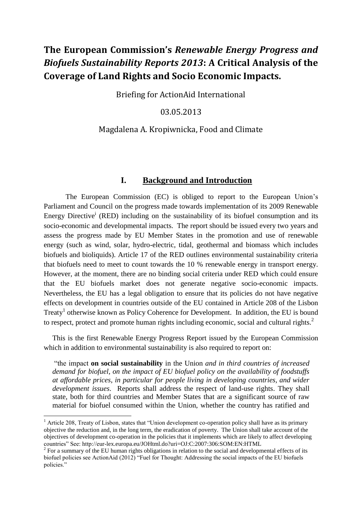# **The European Commission's** *Renewable Energy Progress and Biofuels Sustainability Reports 2013***: A Critical Analysis of the Coverage of Land Rights and Socio Economic Impacts.**

Briefing for ActionAid International

03.05.2013

# Magdalena A. Kropiwnicka, Food and Climate

### **I. Background and Introduction**

The European Commission (EC) is obliged to report to the European Union's Parliament and Council on the progress made towards implementation of its 2009 Renewable Energy Directive<sup>i</sup> (RED) including on the sustainability of its biofuel consumption and its socio-economic and developmental impacts. The report should be issued every two years and assess the progress made by EU Member States in the promotion and use of renewable energy (such as wind, solar, hydro-electric, tidal, geothermal and biomass which includes biofuels and bioliquids). Article 17 of the RED outlines environmental sustainability criteria that biofuels need to meet to count towards the 10 % renewable energy in transport energy. However, at the moment, there are no binding social criteria under RED which could ensure that the EU biofuels market does not generate negative socio-economic impacts. Nevertheless, the EU has a legal obligation to ensure that its policies do not have negative effects on development in countries outside of the EU contained in Article 208 of the Lisbon Treaty<sup>1</sup> otherwise known as Policy Coherence for Development. In addition, the EU is bound to respect, protect and promote human rights including economic, social and cultural rights.<sup>2</sup>

This is the first Renewable Energy Progress Report issued by the European Commission which in addition to environmental sustainability is also required to report on:

"the impact **on social sustainability** in the Union *and in third countries of increased demand for biofuel, on the impact of EU biofuel policy on the availability of foodstuffs at affordable prices*, *in particular for people living in developing countries, and wider development issues*. Reports shall address the respect of land-use rights. They shall state, both for third countries and Member States that are a significant source of raw material for biofuel consumed within the Union, whether the country has ratified and

**.** 

<sup>&</sup>lt;sup>1</sup> Article 208, Treaty of Lisbon, states that "Union development co-operation policy shall have as its primary objective the reduction and, in the long term, the eradication of poverty. The Union shall take account of the objectives of development co-operation in the policies that it implements which are likely to affect developing countries" See: http://eur-lex.europa.eu/JOHtml.do?uri=OJ:C:2007:306:SOM:EN:HTML

 $2^2$  For a summary of the EU human rights obligations in relation to the social and developmental effects of its biofuel policies see ActionAid (2012) "Fuel for Thought: Addressing the social impacts of the EU biofuels policies."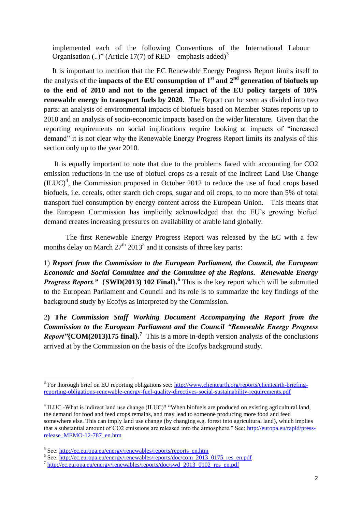implemented each of the following Conventions of the International Labour Organisation (..)" (Article 17(7) of RED – emphasis added)<sup>3</sup>

It is important to mention that the EC Renewable Energy Progress Report limits itself to the analysis of the **impacts of the EU consumption of 1 st and 2nd generation of biofuels up to the end of 2010 and not to the general impact of the EU policy targets of 10% renewable energy in transport fuels by 2020**. The Report can be seen as divided into two parts: an analysis of environmental impacts of biofuels based on Member States reports up to 2010 and an analysis of socio-economic impacts based on the wider literature. Given that the reporting requirements on social implications require looking at impacts of "increased demand" it is not clear why the Renewable Energy Progress Report limits its analysis of this section only up to the year 2010.

It is equally important to note that due to the problems faced with accounting for CO2 emission reductions in the use of biofuel crops as a result of the Indirect Land Use Change  $(ILUC)^4$ , the Commission proposed in October 2012 to reduce the use of food crops based biofuels, i.e. cereals, other starch rich crops, sugar and oil crops, to no more than 5% of total transport fuel consumption by energy content across the European Union. This means that the European Commission has implicitly acknowledged that the EU's growing biofuel demand creates increasing pressures on availability of arable land globally.

The first Renewable Energy Progress Report was released by the EC with a few months delay on March  $27<sup>th</sup> 2013<sup>5</sup>$  and it consists of three key parts:

1) *Report from the Commission to the European Parliament, the Council, the European Economic and Social Committee and the Committee of the Regions. Renewable Energy Progress Report.* ' {SWD(2013) 102 Final}.<sup>6</sup> This is the key report which will be submitted to the European Parliament and Council and its role is to summarize the key findings of the background study by Ecofys as interpreted by the Commission.

2**) T***he Commission Staff Working Document Accompanying the Report from the Commission to the European Parliament and the Council "Renewable Energy Progress Report"***{COM(2013)175 final}. 7** This is a more in-depth version analysis of the conclusions arrived at by the Commission on the basis of the Ecofys background study.

The sum of the control of the control of the set the set that the set of the set of the set of the set of the set of the set of the set of the set of the set of the set of the set of the set of the set of the set of the se [reporting-obligations-renewable-energy-fuel-quality-directives-social-sustainability-requirements.pdf](http://www.clientearth.org/reports/clientearth-briefing-reporting-obligations-renewable-energy-fuel-quality-directives-social-sustainability-requirements.pdf)

 $4$  ILUC -What is indirect land use change (ILUC)? "When biofuels are produced on existing agricultural land, the demand for food and feed crops remains, and may lead to someone producing more food and feed somewhere else. This can imply land use change (by changing e.g. forest into agricultural land), which implies that a substantial amount of CO2 emissions are released into the atmosphere." See: [http://europa.eu/rapid/press](http://europa.eu/rapid/press-release_MEMO-12-787_en.htm)[release\\_MEMO-12-787\\_en.htm](http://europa.eu/rapid/press-release_MEMO-12-787_en.htm)

<sup>&</sup>lt;sup>5</sup> See: [http://ec.europa.eu/energy/renewables/reports/reports\\_en.htm](http://ec.europa.eu/energy/renewables/reports/reports_en.htm)

<sup>&</sup>lt;sup>6</sup> See: [http://ec.europa.eu/energy/renewables/reports/doc/com\\_2013\\_0175\\_res\\_en.pdf](http://ec.europa.eu/energy/renewables/reports/doc/com_2013_0175_res_en.pdf)

<sup>&</sup>lt;sup>7</sup> [http://ec.europa.eu/energy/renewables/reports/doc/swd\\_2013\\_0102\\_res\\_en.pdf](http://ec.europa.eu/energy/renewables/reports/doc/swd_2013_0102_res_en.pdf)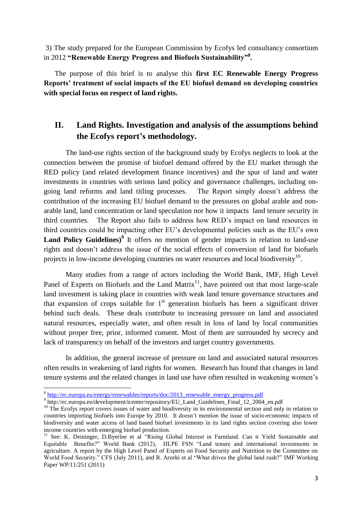3) The study prepared for the European Commission by Ecofys led consultancy consortium in 2012 **"Renewable Energy Progress and Biofuels Sustainability"<sup>8</sup> .** 

The purpose of this brief is to analyse this **first EC Renewable Energy Progress Reports' treatment of social impacts of the EU biofuel demand on developing countries with special focus on respect of land rights.** 

# **II. Land Rights. Investigation and analysis of the assumptions behind the Ecofys report's methodology.**

The land-use rights section of the background study by Ecofys neglects to look at the connection between the promise of biofuel demand offered by the EU market through the RED policy (and related development finance incentives) and the spur of land and water investments in countries with serious land policy and governance challenges, including ongoing land reforms and land titling processes. The Report simply doesn't address the contribution of the increasing EU biofuel demand to the pressures on global arable and nonarable land, land concentration or land speculation nor how it impacts land tenure security in third countries. The Report also fails to address how RED's impact on land resources in third countries could be impacting other EU's developmental policies such as the EU's own Land Policy Guidelines)<sup>9</sup> It offers no mention of gender impacts in relation to land-use rights and doesn't address the issue of the social effects of conversion of land for biofuels projects in low-income developing countries on water resources and local biodiversity $^{10}$ .

Many studies from a range of actors including the World Bank, IMF, High Level Panel of Experts on Biofuels and the Land Matrix<sup>11</sup>, have pointed out that most large-scale land investment is taking place in countries with weak land tenure governance structures and that expansion of crops suitable for  $1<sup>st</sup>$  generation biofuels has been a significant driver behind such deals. These deals contribute to increasing pressure on land and associated natural resources, especially water, and often result in loss of land by local communities without proper free, prior, informed consent. Most of them are surrounded by secrecy and lack of transparency on behalf of the investors and target country governments.

In addition, the general increase of pressure on land and associated natural resources often results in weakening of land rights for women. Research has found that changes in land tenure systems and the related changes in land use have often resulted in weakening women's

werelds<br>[http://ec.europa.eu/energy/renewables/reports/doc/2013\\_renewable\\_energy\\_progress.pdf](http://ec.europa.eu/energy/renewables/reports/doc/2013_renewable_energy_progress.pdf)

<sup>&</sup>lt;sup>9</sup> http://ec.europa.eu/development/icenter/repository/EU\_Land\_Guidelines\_Final\_12\_2004\_en.pdf

<sup>&</sup>lt;sup>10</sup> The Ecofys report covers issues of water and biodiversity in its environmental section and only in relation to countries importing biofuels into Europe by 2010. It doesn't mention the issue of socio-economic impacts of biodiversity and water access of land based biofuel investments in its land rights section covering also lower income countries with emerging biofuel production.

<sup>&</sup>lt;sup>11</sup> See: K. Deininger, D.Byerlee et al "Rising Global Interest in Farmland. Can it Yield Sustainable and Equitable Benefits?" World Bank (2012), HLPE FSN "Land tenure and international investments in agriculture. A report by the High Level Panel of Experts on Food Security and Nutrition to the Committee on World Food Security." CFS (July 2011), and R. Arzeki et al "What drives the global land rush?" IMF Working Paper WP/11/251 (2011)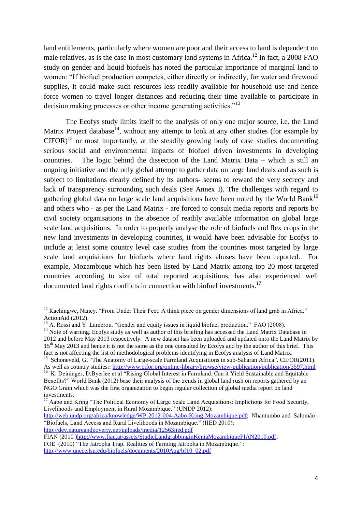land entitlements, particularly where women are poor and their access to land is dependent on male relatives, as is the case in most customary land systems in Africa.<sup>12</sup> In fact, a 2008 FAO study on gender and liquid biofuels has noted the particular importance of marginal land to women: "If biofuel production competes, either directly or indirectly, for water and firewood supplies, it could make such resources less readily available for household use and hence force women to travel longer distances and reducing their time available to participate in decision making processes or other income generating activities."<sup>13</sup>

The Ecofys study limits itself to the analysis of only one major source, i.e. the Land Matrix Project database<sup>14</sup>, without any attempt to look at any other studies (for example by  $CIFOR$ <sup>15</sup> or most importantly, at the steadily growing body of case studies documenting serious social and environmental impacts of biofuel driven investments in developing countries. The logic behind the dissection of the Land Matrix Data – which is still an ongoing initiative and the only global attempt to gather data on large land deals and as such is subject to limitations clearly defined by its authors- seems to reward the very secrecy and lack of transparency surrounding such deals (See Annex I). The challenges with regard to gathering global data on large scale land acquisitions have been noted by the World Bank<sup>16</sup> and others who - as per the Land Matrix - are forced to consult media reports and reports by civil society organisations in the absence of readily available information on global large scale land acquisitions. In order to properly analyse the role of biofuels and flex crops in the new land investments in developing countries, it would have been advisable for Ecofys to include at least some country level case studies from the countries most targeted by large scale land acquisitions for biofuels where land rights abuses have been reported. For example, Mozambique which has been listed by Land Matrix among top 20 most targeted countries according to size of total reported acquisitions, has also experienced well documented land rights conflicts in connection with biofuel investments.<sup>17</sup>

**.** 

[http://web.undp.org/africa/knowledge/WP-2012-004-Aabo-Kring-Mozambique.pdf;](http://web.undp.org/africa/knowledge/WP-2012-004-Aabo-Kring-Mozambique.pdf) Nhantumbo and Salomão . "Biofuels, Land Access and Rural Livelihoods in Mozambique." (IIED 2010): <http://dev.natureandpoverty.net/uploads/media/12563iied.pdf>

 $12$  Kachingwe, Nancy. "From Under Their Feet: A think piece on gender dimensions of land grab in Africa." ActionAid (2012).

<sup>&</sup>lt;sup>13</sup> A. Rossi and Y. Lambrou. "Gender and equity issues in liquid biofuel production." FAO (2008).

<sup>&</sup>lt;sup>14</sup> Note of warning. Ecofys study as well as author of this briefing has accessed the Land Matrix Database in 2012 and before May 2013 respectively. A new dataset has been uploaded and updated onto the Land Matrix by 15<sup>th</sup> May 2013 and hence it is not the same as the one consulted by Ecofys and by the author of this brief. This fact is not affecting the list of methodological problems identifying in Ecofys analysis of Land Matrix.

<sup>&</sup>lt;sup>15</sup> Schoneveld, G. "The Anatomy of Large-scale Farmland Acquisitions in sub-Saharan Africa". CIFOR(2011). As well as country studies:: <http://www.cifor.org/online-library/browse/view-publication/publication/3597.html>

<sup>&</sup>lt;sup>16</sup> K. Deininger, D.Byerlee et al "Rising Global Interest in Farmland. Can it Yield Sustainable and Equitable Benefits?" World Bank (2012) base their analysis of the trends in global land rush on reports gathered by an NGO Grain which was the first organization to begin regular collection of global media report on land investments.

 $17$  Aabø and Kring "The Political Economy of Large Scale Land Acquisitions: Implictions for Food Security, Livelihoods and Employment in Rural Mozambique." (UNDP 2012):

FIAN (2010 [\)http://www.fian.at/assets/StudieLandgrabbinginKeniaMozambiqueFIAN2010.pdf;](http://www.fian.at/assets/StudieLandgrabbinginKeniaMozambiqueFIAN2010.pdf)

FOE (2010) "The Jatropha Trap. Realities of Farming Jatropha in Mozambique.": [http://www.unece.lsu.edu/biofuels/documents/2010Aug/bf10\\_02.pdf](http://www.unece.lsu.edu/biofuels/documents/2010Aug/bf10_02.pdf)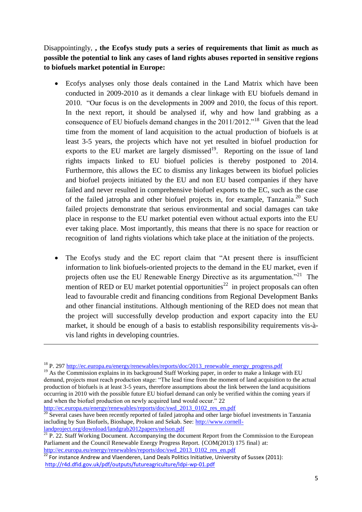Disappointingly, **, the Ecofys study puts a series of requirements that limit as much as possible the potential to link any cases of land rights abuses reported in sensitive regions to biofuels market potential in Europe:** 

- Ecofys analyses only those deals contained in the Land Matrix which have been conducted in 2009-2010 as it demands a clear linkage with EU biofuels demand in 2010. "Our focus is on the developments in 2009 and 2010, the focus of this report. In the next report, it should be analysed if, why and how land grabbing as a consequence of EU biofuels demand changes in the  $2011/2012$ .<sup>18</sup> Given that the lead time from the moment of land acquisition to the actual production of biofuels is at least 3-5 years, the projects which have not yet resulted in biofuel production for exports to the EU market are largely dismissed<sup>19</sup>. Reporting on the issue of land rights impacts linked to EU biofuel policies is thereby postponed to 2014. Furthermore, this allows the EC to dismiss any linkages between its biofuel policies and biofuel projects initiated by the EU and non EU based companies if they have failed and never resulted in comprehensive biofuel exports to the EC, such as the case of the failed jatropha and other biofuel projects in, for example, Tanzania.<sup>20</sup> Such failed projects demonstrate that serious environmental and social damages can take place in response to the EU market potential even without actual exports into the EU ever taking place. Most importantly, this means that there is no space for reaction or recognition of land rights violations which take place at the initiation of the projects.
- The Ecofys study and the EC report claim that "At present there is insufficient information to link biofuels-oriented projects to the demand in the EU market, even if projects often use the EU Renewable Energy Directive as its argumentation. $121$  The mention of RED or EU market potential opportunities<sup>22</sup> in project proposals can often lead to favourable credit and financing conditions from Regional Development Banks and other financial institutions. Although mentioning of the RED does not mean that the project will successfully develop production and export capacity into the EU market, it should be enough of a basis to establish responsibility requirements vis-àvis land rights in developing countries.

<sup>&</sup>lt;sup>18</sup> P. 297 [http://ec.europa.eu/energy/renewables/reports/doc/2013\\_renewable\\_energy\\_progress.pdf](http://ec.europa.eu/energy/renewables/reports/doc/2013_renewable_energy_progress.pdf)

<sup>&</sup>lt;sup>19</sup> As the Commission explains in its background Staff Working paper, in order to make a linkage with EU demand, projects must reach production stage: "The lead time from the moment of land acquisition to the actual production of biofuels is at least 3-5 years, therefore assumptions about the link between the land acquisitions occurring in 2010 with the possible future EU biofuel demand can only be verified within the coming years if and when the biofuel production on newly acquired land would occur." 22

[http://ec.europa.eu/energy/renewables/reports/doc/swd\\_2013\\_0102\\_res\\_en.pdf](http://ec.europa.eu/energy/renewables/reports/doc/swd_2013_0102_res_en.pdf)

 $20$  Several cases have been recently reported of failed jatropha and other large biofuel investments in Tanzania including by Sun Biofuels, Bioshape, Prokon and Sekab. See: [http://www.cornell](http://www.cornell-landproject.org/download/landgrab2012papers/nelson.pdf)[landproject.org/download/landgrab2012papers/nelson.pdf](http://www.cornell-landproject.org/download/landgrab2012papers/nelson.pdf)

<sup>&</sup>lt;sup>21</sup> P. 22. Staff Working Document. Accompanying the document Report from the Commission to the European Parliament and the Council Renewable Energy Progress Report. {COM(2013) 175 final} at: [http://ec.europa.eu/energy/renewables/reports/doc/swd\\_2013\\_0102\\_res\\_en.pdf](http://ec.europa.eu/energy/renewables/reports/doc/swd_2013_0102_res_en.pdf)

<sup>&</sup>lt;sup>22</sup> For instance Andrew and Vlaenderen, Land Deals Politics Initiative, University of Sussex (2011): <http://r4d.dfid.gov.uk/pdf/outputs/futureagriculture/ldpi-wp-01.pdf>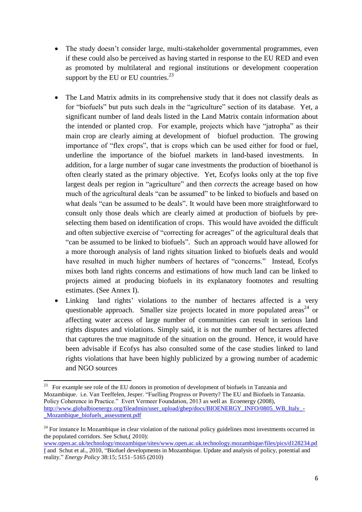- The study doesn't consider large, multi-stakeholder governmental programmes, even if these could also be perceived as having started in response to the EU RED and even as promoted by multilateral and regional institutions or development cooperation support by the EU or EU countries. $^{23}$
- The Land Matrix admits in its comprehensive study that it does not classify deals as for "biofuels" but puts such deals in the "agriculture" section of its database. Yet, a significant number of land deals listed in the Land Matrix contain information about the intended or planted crop. For example, projects which have "jatropha" as their main crop are clearly aiming at development of biofuel production. The growing importance of "flex crops", that is crops which can be used either for food or fuel, underline the importance of the biofuel markets in land-based investments. In addition, for a large number of sugar cane investments the production of bioethanol is often clearly stated as the primary objective. Yet, Ecofys looks only at the top five largest deals per region in "agriculture" and then *corrects* the acreage based on how much of the agricultural deals "can be assumed" to be linked to biofuels and based on what deals "can be assumed to be deals". It would have been more straightforward to consult only those deals which are clearly aimed at production of biofuels by preselecting them based on identification of crops. This would have avoided the difficult and often subjective exercise of "correcting for acreages" of the agricultural deals that "can be assumed to be linked to biofuels". Such an approach would have allowed for a more thorough analysis of land rights situation linked to biofuels deals and would have resulted in much higher numbers of hectares of "concerns." Instead, Ecofys mixes both land rights concerns and estimations of how much land can be linked to projects aimed at producing biofuels in its explanatory footnotes and resulting estimates. (See Annex I).
- Linking land rights' violations to the number of hectares affected is a very questionable approach. Smaller size projects located in more populated areas<sup>24</sup> or affecting water access of large number of communities can result in serious land rights disputes and violations. Simply said, it is not the number of hectares affected that captures the true magnitude of the situation on the ground. Hence, it would have been advisable if Ecofys has also consulted some of the case studies linked to land rights violations that have been highly publicized by a growing number of academic and NGO sources

<sup>23</sup> For example see role of the EU donors in promotion of development of biofuels in Tanzania and Mozambique. i.e. Van Teeffelen, Jesper. "Fuelling Progress or Poverty? The EU and Biofuels in Tanzania. Policy Coherence in Practice." Evert Vermeer Foundation, 2013 as well as Ecoenergy (2008), [http://www.globalbioenergy.org/fileadmin/user\\_upload/gbep/docs/BIOENERGY\\_INFO/0805\\_WB\\_Italy\\_-](http://www.globalbioenergy.org/fileadmin/user_upload/gbep/docs/BIOENERGY_INFO/0805_WB_Italy_-_Mozambique_biofuels_assessment.pdf) [\\_Mozambique\\_biofuels\\_assessment.pdf](http://www.globalbioenergy.org/fileadmin/user_upload/gbep/docs/BIOENERGY_INFO/0805_WB_Italy_-_Mozambique_biofuels_assessment.pdf)

<sup>&</sup>lt;sup>24</sup> For instance In Mozambique in clear violation of the national policy guidelines most investments occurred in the populated corridors. See Schut,( 2010):

[www.open.ac.uk/technology/mozambique/sites/www.open.ac.uk.technology.mozambique/files/pics/d128234.pd](http://www.open.ac.uk/technology/mozambique/sites/www.open.ac.uk.technology.mozambique/files/pics/d128234.pdf) [f](http://www.open.ac.uk/technology/mozambique/sites/www.open.ac.uk.technology.mozambique/files/pics/d128234.pdf) and Schut et al., 2010, "Biofuel developments in Mozambique. Update and analysis of policy, potential and reality." *Energy Policy* 38:15; 5151–5165 (2010)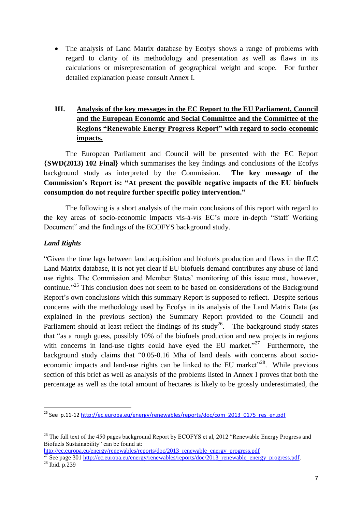The analysis of Land Matrix database by Ecofys shows a range of problems with regard to clarity of its methodology and presentation as well as flaws in its calculations or misrepresentation of geographical weight and scope. For further detailed explanation please consult Annex I.

# **III. Analysis of the key messages in the EC Report to the EU Parliament, Council and the European Economic and Social Committee and the Committee of the Regions "Renewable Energy Progress Report" with regard to socio-economic impacts.**

The European Parliament and Council will be presented with the EC Report {**SWD(2013) 102 Final}** which summarises the key findings and conclusions of the Ecofys background study as interpreted by the Commission. **The key message of the Commission's Report is: "At present the possible negative impacts of the EU biofuels consumption do not require further specific policy intervention."**

The following is a short analysis of the main conclusions of this report with regard to the key areas of socio-economic impacts vis-à-vis EC's more in-depth "Staff Working Document" and the findings of the ECOFYS background study.

# *Land Rights*

"Given the time lags between land acquisition and biofuels production and flaws in the ILC Land Matrix database, it is not yet clear if EU biofuels demand contributes any abuse of land use rights. The Commission and Member States' monitoring of this issue must, however, continue."<sup>25</sup> This conclusion does not seem to be based on considerations of the Background Report's own conclusions which this summary Report is supposed to reflect. Despite serious concerns with the methodology used by Ecofys in its analysis of the Land Matrix Data (as explained in the previous section) the Summary Report provided to the Council and Parliament should at least reflect the findings of its study<sup>26</sup>. The background study states that "as a rough guess, possibly 10% of the biofuels production and new projects in regions with concerns in land-use rights could have eyed the EU market."<sup>27</sup> Furthermore, the background study claims that "0.05-0.16 Mha of land deals with concerns about socioeconomic impacts and land-use rights can be linked to the EU market"<sup>28</sup>. While previous section of this brief as well as analysis of the problems listed in Annex I proves that both the percentage as well as the total amount of hectares is likely to be grossly underestimated, the

[http://ec.europa.eu/energy/renewables/reports/doc/2013\\_renewable\\_energy\\_progress.pdf](http://ec.europa.eu/energy/renewables/reports/doc/2013_renewable_energy_progress.pdf)

<sup>&</sup>lt;sup>25</sup> See p.11-12 [http://ec.europa.eu/energy/renewables/reports/doc/com\\_2013\\_0175\\_res\\_en.pdf](http://ec.europa.eu/energy/renewables/reports/doc/com_2013_0175_res_en.pdf)

<sup>&</sup>lt;sup>26</sup> The full text of the 450 pages background Report by ECOFYS et al. 2012 "Renewable Energy Progress and Biofuels Sustainability" can be found at:

<sup>&</sup>lt;sup>27</sup> See page 301 http://ec.europa.eu/energy/renewables/reports/doc/2013 renewable energy progress.pdf.

<sup>28</sup> Ibid. p.239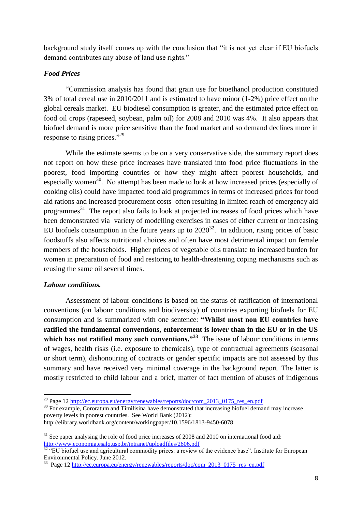background study itself comes up with the conclusion that "it is not yet clear if EU biofuels demand contributes any abuse of land use rights."

#### *Food Prices*

"Commission analysis has found that grain use for bioethanol production constituted 3% of total cereal use in 2010/2011 and is estimated to have minor (1-2%) price effect on the global cereals market. EU biodiesel consumption is greater, and the estimated price effect on food oil crops (rapeseed, soybean, palm oil) for 2008 and 2010 was 4%. It also appears that biofuel demand is more price sensitive than the food market and so demand declines more in response to rising prices."<sup>29</sup>

While the estimate seems to be on a very conservative side, the summary report does not report on how these price increases have translated into food price fluctuations in the poorest, food importing countries or how they might affect poorest households, and especially women<sup>30</sup>. No attempt has been made to look at how increased prices (especially of cooking oils) could have impacted food aid programmes in terms of increased prices for food aid rations and increased procurement costs often resulting in limited reach of emergency aid programmes $^{31}$ . The report also fails to look at projected increases of food prices which have been demonstrated via variety of modelling exercises in cases of either current or increasing EU biofuels consumption in the future years up to  $2020^{32}$ . In addition, rising prices of basic foodstuffs also affects nutritional choices and often have most detrimental impact on female members of the households. Higher prices of vegetable oils translate to increased burden for women in preparation of food and restoring to health-threatening coping mechanisms such as reusing the same oil several times.

### *Labour conditions.*

**.** 

Assessment of labour conditions is based on the status of ratification of international conventions (on labour conditions and biodiversity) of countries exporting biofuels for EU consumption and is summarized with one sentence: **"Whilst most non EU countries have ratified the fundamental conventions, enforcement is lower than in the EU or in the US**  which has not ratified many such conventions."<sup>33</sup> The issue of labour conditions in terms of wages, health risks (i.e. exposure to chemicals), type of contractual agreements (seasonal or short term), dishonouring of contracts or gender specific impacts are not assessed by this summary and have received very minimal coverage in the background report. The latter is mostly restricted to child labour and a brief, matter of fact mention of abuses of indigenous

<sup>&</sup>lt;sup>29</sup> Page 12 [http://ec.europa.eu/energy/renewables/reports/doc/com\\_2013\\_0175\\_res\\_en.pdf](http://ec.europa.eu/energy/renewables/reports/doc/com_2013_0175_res_en.pdf)

<sup>&</sup>lt;sup>30</sup> For example, Cororatum and Timilisina have demonstrated that increasing biofuel demand may increase poverty levels in poorest countries. See World Bank (2012): http://elibrary.worldbank.org/content/workingpaper/10.1596/1813-9450-6078

<sup>&</sup>lt;sup>31</sup> See paper analysing the role of food price increases of 2008 and 2010 on international food aid: <http://www.economia.esalq.usp.br/intranet/uploadfiles/2606.pdf>

 $32$  "EU biofuel use and agricultural commodity prices: a review of the evidence base". Institute for European Environmental Policy. June 2012.

<sup>&</sup>lt;sup>33</sup> Page 12 [http://ec.europa.eu/energy/renewables/reports/doc/com\\_2013\\_0175\\_res\\_en.pdf](http://ec.europa.eu/energy/renewables/reports/doc/com_2013_0175_res_en.pdf)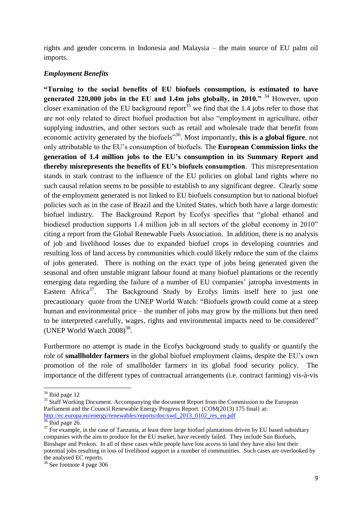rights and gender concerns in Indonesia and Malaysia – the main source of EU palm oil imports.

#### *Employment Benefits*

**"Turning to the social benefits of EU biofuels consumption, is estimated to have generated 220,000 jobs in the EU and 1.4m jobs globally, in 2010."** <sup>34</sup> However, upon closer examination of the EU background report<sup>35</sup> we find that the 1.4 jobs refer to those that are not only related to direct biofuel production but also "employment in agriculture, other supplying industries, and other sectors such as retail and wholesale trade that benefit from economic activity generated by the biofuels<sup>336</sup>. Most importantly, **this is a global figure**, not only attributable to the EU's consumption of biofuels. The **European Commission links the generation of 1.4 million jobs to the EU's consumption in its Summary Report and thereby misrepresents the benefits of EU's biofuels consumption**. This misrepresentation stands in stark contrast to the influence of the EU policies on global land rights where no such causal relation seems to be possible to establish to any significant degree. Clearly some of the employment generated is not linked to EU biofuels consumption but to national biofuel policies such as in the case of Brazil and the United States, which both have a large domestic biofuel industry. The Background Report by Ecofys specifies that "global ethanol and biodiesel production supports 1.4 million job in all sectors of the global economy in 2010" citing a report from the Global Renewable Fuels Association. In addition, there is no analysis of job and livelihood losses due to expanded biofuel crops in developing countries and resulting loss of land access by communities which could likely reduce the sum of the claims of jobs generated. There is nothing on the exact type of jobs being generated given the seasonal and often unstable migrant labour found at many biofuel plantations or the recently emerging data regarding the failure of a number of EU companies' jatropha investments in Eastern Africa<sup>37</sup>. . The Background Study by Ecofys limits itself here to just one precautionary quote from the UNEP World Watch: "Biofuels growth could come at a steep human and environmental price – the number of jobs may grow by the millions but then need to be interpreted carefully, wages, rights and environmental impacts need to be considered" (UNEP World Watch  $2008$ )<sup>38</sup>.

Furthermore no attempt is made in the Ecofys background study to qualify or quantify the role of **smallholder farmers** in the global biofuel employment claims, despite the EU's own promotion of the role of smallholder farmers in its global food security policy. The importance of the different types of contractual arrangements (i.e. contract farming) vis-à-vis

**.** 

 $34$  Ibid page 12

<sup>&</sup>lt;sup>35</sup> Staff Working Document. Accompanying the document Report from the Commission to the European Parliament and the Council Renewable Energy Progress Report. {COM(2013) 175 final} at: [http://ec.europa.eu/energy/renewables/reports/doc/swd\\_2013\\_0102\\_res\\_en.pdf](http://ec.europa.eu/energy/renewables/reports/doc/swd_2013_0102_res_en.pdf)

 $36$  Ibid page 26.

 $37$  For example, in the case of Tanzania, at least three large biofuel plantations driven by EU based subsidiary companies with the aim to produce for the EU market, have recently failed. They include Sun Biofuels, Bioshape and Prokon. In all of these cases while people have lost access to land they have also lost their potential jobs resulting in loss of livelihood support in a number of communities. Such cases are overlooked by the analysed EC reports.

<sup>38</sup> See footnote 4 page 306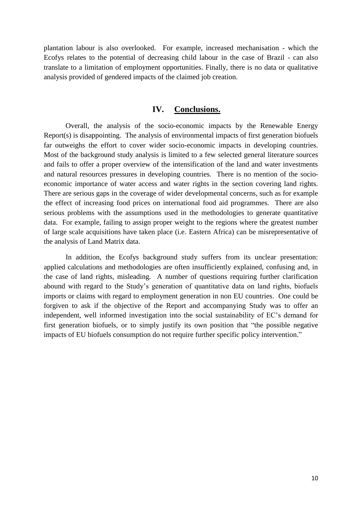plantation labour is also overlooked. For example, increased mechanisation - which the Ecofys relates to the potential of decreasing child labour in the case of Brazil - can also translate to a limitation of employment opportunities. Finally, there is no data or qualitative analysis provided of gendered impacts of the claimed job creation.

#### **IV. Conclusions.**

Overall, the analysis of the socio-economic impacts by the Renewable Energy Report(s) is disappointing. The analysis of environmental impacts of first generation biofuels far outweighs the effort to cover wider socio-economic impacts in developing countries. Most of the background study analysis is limited to a few selected general literature sources and fails to offer a proper overview of the intensification of the land and water investments and natural resources pressures in developing countries. There is no mention of the socioeconomic importance of water access and water rights in the section covering land rights. There are serious gaps in the coverage of wider developmental concerns, such as for example the effect of increasing food prices on international food aid programmes. There are also serious problems with the assumptions used in the methodologies to generate quantitative data. For example, failing to assign proper weight to the regions where the greatest number of large scale acquisitions have taken place (i.e. Eastern Africa) can be misrepresentative of the analysis of Land Matrix data.

In addition, the Ecofys background study suffers from its unclear presentation: applied calculations and methodologies are often insufficiently explained, confusing and, in the case of land rights, misleading. A number of questions requiring further clarification abound with regard to the Study's generation of quantitative data on land rights, biofuels imports or claims with regard to employment generation in non EU countries. One could be forgiven to ask if the objective of the Report and accompanying Study was to offer an independent, well informed investigation into the social sustainability of EC's demand for first generation biofuels, or to simply justify its own position that "the possible negative impacts of EU biofuels consumption do not require further specific policy intervention."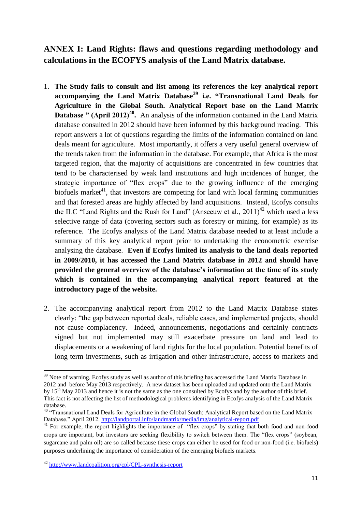# **ANNEX I: Land Rights: flaws and questions regarding methodology and calculations in the ECOFYS analysis of the Land Matrix database.**

- 1. **The Study fails to consult and list among its references the key analytical report accompanying the Land Matrix Database<sup>39</sup> i.e. "Transnational Land Deals for Agriculture in the Global South. Analytical Report base on the Land Matrix**  Database " (April 2012)<sup>40</sup>. An analysis of the information contained in the Land Matrix database consulted in 2012 should have been informed by this background reading. This report answers a lot of questions regarding the limits of the information contained on land deals meant for agriculture. Most importantly, it offers a very useful general overview of the trends taken from the information in the database. For example, that Africa is the most targeted region, that the majority of acquisitions are concentrated in few countries that tend to be characterised by weak land institutions and high incidences of hunger, the strategic importance of "flex crops" due to the growing influence of the emerging biofuels market<sup>41</sup>, that investors are competing for land with local farming communities and that forested areas are highly affected by land acquisitions. Instead, Ecofys consults the ILC "Land Rights and the Rush for Land" (Anseeuw et al.,  $2011$ )<sup>42</sup> which used a less selective range of data (covering sectors such as forestry or mining, for example) as its reference. The Ecofys analysis of the Land Matrix database needed to at least include a summary of this key analytical report prior to undertaking the econometric exercise analysing the database. **Even if Ecofys limited its analysis to the land deals reported in 2009/2010, it has accessed the Land Matrix database in 2012 and should have provided the general overview of the database's information at the time of its study which is contained in the accompanying analytical report featured at the introductory page of the website.**
- 2. The accompanying analytical report from 2012 to the Land Matrix Database states clearly: "the gap between reported deals, reliable cases, and implemented projects, should not cause complacency. Indeed, announcements, negotiations and certainly contracts signed but not implemented may still exacerbate pressure on land and lead to displacements or a weakening of land rights for the local population. Potential benefits of long term investments, such as irrigation and other infrastructure, access to markets and

**<sup>.</sup>** <sup>39</sup> Note of warning. Ecofys study as well as author of this briefing has accessed the Land Matrix Database in 2012 and before May 2013 respectively. A new dataset has been uploaded and updated onto the Land Matrix by 15<sup>th</sup> May 2013 and hence it is not the same as the one consulted by Ecofys and by the author of this brief. This fact is not affecting the list of methodological problems identifying in Ecofys analysis of the Land Matrix database.

<sup>&</sup>lt;sup>40</sup> "Transnational Land Deals for Agriculture in the Global South: Analytical Report based on the Land Matrix Database." April 2012[. http://landportal.info/landmatrix/media/img/analytical-report.pdf](http://landportal.info/landmatrix/media/img/analytical-report.pdf)

<sup>&</sup>lt;sup>41</sup> For example, the report highlights the importance of "flex crops" by stating that both food and non-food crops are important, but investors are seeking flexibility to switch between them. The "flex crops" (soybean, sugarcane and palm oil) are so called because these crops can either be used for food or non-food (i.e. biofuels) purposes underlining the importance of consideration of the emerging biofuels markets.

<sup>42</sup> <http://www.landcoalition.org/cpl/CPL-synthesis-report>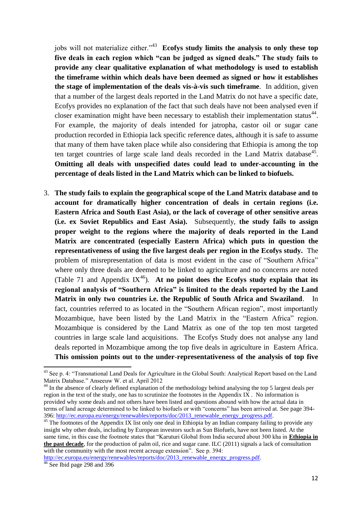jobs will not materialize either."<sup>43</sup> Ecofys study limits the analysis to only these top **five deals in each region which "can be judged as signed deals." The study fails to provide any clear qualitative explanation of what methodology is used to establish the timeframe within which deals have been deemed as signed or how it establishes the stage of implementation of the deals vis-à-vis such timeframe**. In addition, given that a number of the largest deals reported in the Land Matrix do not have a specific date, Ecofys provides no explanation of the fact that such deals have not been analysed even if closer examination might have been necessary to establish their implementation status $44$ . For example, the majority of deals intended for jatropha, castor oil or sugar cane production recorded in Ethiopia lack specific reference dates, although it is safe to assume that many of them have taken place while also considering that Ethiopia is among the top ten target countries of large scale land deals recorded in the Land Matrix database<sup>45</sup>. **Omitting all deals with unspecified dates could lead to under-accounting in the percentage of deals listed in the Land Matrix which can be linked to biofuels.** 

3. **The study fails to explain the geographical scope of the Land Matrix database and to account for dramatically higher concentration of deals in certain regions (i.e. Eastern Africa and South East Asia), or the lack of coverage of other sensitive areas (i.e. ex Soviet Republics and East Asia).** Subsequently, **the study fails to assign proper weight to the regions where the majority of deals reported in the Land Matrix are concentrated (especially Eastern Africa) which puts in question the representativeness of using the five largest deals per region in the Ecofys study.** The problem of misrepresentation of data is most evident in the case of "Southern Africa" where only three deals are deemed to be linked to agriculture and no concerns are noted (Table 71 and Appendix  $IX^{46}$ ). At no point does the Ecofys study explain that its **regional analysis of "Southern Africa" is limited to the deals reported by the Land Matrix in only two countries i.e. the Republic of South Africa and Swaziland**. In fact, countries referred to as located in the "Southern African region", most importantly Mozambique, have been listed by the Land Matrix in the "Eastern Africa" region. Mozambique is considered by the Land Matrix as one of the top ten most targeted countries in large scale land acquisitions. The Ecofys Study does not analyse any land deals reported in Mozambique among the top five deals in agriculture in Eastern Africa. **This omission points out to the under**-**representativeness of the analysis of top five**

**.** 

<sup>&</sup>lt;sup>43</sup> See p. 4: "Transnational Land Deals for Agriculture in the Global South: Analytical Report based on the Land Matrix Database." Anseeuw W. et al. April 2012

<sup>&</sup>lt;sup>44</sup> In the absence of clearly defined explanation of the methodology behind analysing the top 5 largest deals per region in the text of the study, one has to scrutinize the footnotes in the Appendix IX. No information is provided why some deals and not others have been listed and questions abound with how the actual data in terms of land acreage determined to be linked to biofuels or with "concerns" has been arrived at. See page 394- 396: [http://ec.europa.eu/energy/renewables/reports/doc/2013\\_renewable\\_energy\\_progress.pdf.](http://ec.europa.eu/energy/renewables/reports/doc/2013_renewable_energy_progress.pdf)

<sup>&</sup>lt;sup>45</sup> The footnotes of the Appendix IX list only one deal in Ethiopia by an Indian company failing to provide any insight why other deals, including by European investors such as Sun Biofuels, have not been listed. At the same time, in this case the footnote states that "Karuturi Global from India secured about 300 kha in **Ethiopia in the past decade**, for the production of palm oil, rice and sugar cane. ILC (2011) signals a lack of consultation with the community with the most recent acreage extension". See p. 394:

[http://ec.europa.eu/energy/renewables/reports/doc/2013\\_renewable\\_energy\\_progress.pdf.](http://ec.europa.eu/energy/renewables/reports/doc/2013_renewable_energy_progress.pdf)

 $46$  See Ibid page 298 and 396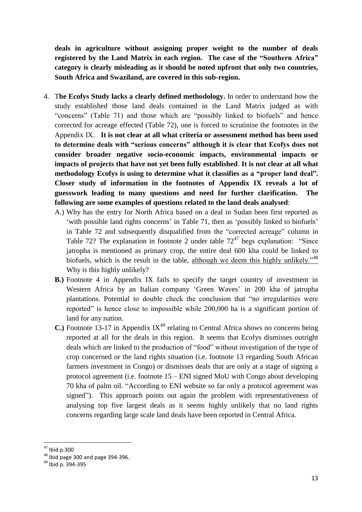**deals in agriculture without assigning proper weight to the number of deals registered by the Land Matrix in each region. The case of the "Southern Africa" category is clearly misleading as it should be noted upfront that only two countries, South Africa and Swaziland, are covered in this sub-region.** 

- 4. T**he Ecofys Study lacks a clearly defined methodology.** In order to understand how the study established those land deals contained in the Land Matrix judged as with "concerns" (Table 71) and those which are "possibly linked to biofuels" and hence corrected for acreage effected (Table 72), one is forced to scrutinise the footnotes in the Appendix IX. **It is not clear at all what criteria or assessment method has been used to determine deals with "serious concerns" although it is clear that Ecofys does not consider broader negative socio-economic impacts, environmental impacts or impacts of projects that have not yet been fully established**. **It is not clear at all what methodology Ecofys is using to determine what it classifies as a "proper land deal". Closer study of information in the footnotes of Appendix IX reveals a lot of guesswork leading to many questions and need for further clarification. The following are some examples of questions related to the land deals analysed**:
	- A.) Why has the entry for North Africa based on a deal in Sudan been first reported as 'with possible land rights concerns' in Table 71, then as 'possibly linked to biofuels' in Table 72 and subsequently disqualified from the "corrected acreage" column in Table 72? The explanation in footnote 2 under table  $72^{47}$  begs explanation: "Since jatropha is mentioned as primary crop, the entire deal 600 kha could be linked to biofuels, which is the result in the table, although we deem this highly unlikely."<sup>48</sup> Why is this highly unlikely?
	- **B.)** Footnote 4 in Appendix IX fails to specify the target country of investment in Western Africa by an Italian company 'Green Waves' in 200 kha of jatropha plantations. Potential to double check the conclusion that "no irregularities were reported" is hence close to impossible while 200,000 ha is a significant portion of land for any nation.
	- **C.**) Footnote 13-17 in Appendix  $IX^{49}$  relating to Central Africa shows no concerns being reported at all for the deals in this region. It seems that Ecofys dismisses outright deals which are linked to the production of "food" without investigation of the type of crop concerned or the land rights situation (i.e. footnote 13 regarding South African farmers investment in Congo) or dismisses deals that are only at a stage of signing a protocol agreement (i.e. footnote 15 – ENI signed MoU with Congo about developing 70 kha of palm oil. "According to ENI website so far only a protocol agreement was signed"). This approach points out again the problem with representativeness of analysing top five largest deals as it seems highly unlikely that no land rights concerns regarding large scale land deals have been reported in Central Africa.

**<sup>.</sup>**  $47$  Ibid p.300

 $48$  Ibid page 300 and page 394-396.

<sup>49</sup> Ibid p. 394-395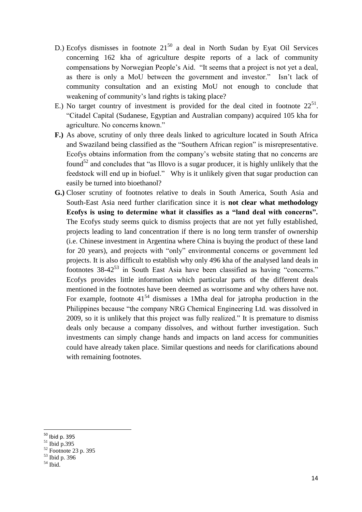- D.) Ecofys dismisses in footnote  $21^{50}$  a deal in North Sudan by Eyat Oil Services concerning 162 kha of agriculture despite reports of a lack of community compensations by Norwegian People's Aid. "It seems that a project is not yet a deal, as there is only a MoU between the government and investor." Isn't lack of community consultation and an existing MoU not enough to conclude that weakening of community's land rights is taking place?
- E.) No target country of investment is provided for the deal cited in footnote  $22^{51}$ . "Citadel Capital (Sudanese, Egyptian and Australian company) acquired 105 kha for agriculture. No concerns known."
- **F.)** As above, scrutiny of only three deals linked to agriculture located in South Africa and Swaziland being classified as the "Southern African region" is misrepresentative. Ecofys obtains information from the company's website stating that no concerns are found<sup>52</sup> and concludes that "as Illovo is a sugar producer, it is highly unlikely that the feedstock will end up in biofuel." Why is it unlikely given that sugar production can easily be turned into bioethanol?
- **G.)** Closer scrutiny of footnotes relative to deals in South America, South Asia and South-East Asia need further clarification since it is **not clear what methodology Ecofys is using to determine what it classifies as a "land deal with concerns".** The Ecofys study seems quick to dismiss projects that are not yet fully established, projects leading to land concentration if there is no long term transfer of ownership (i.e. Chinese investment in Argentina where China is buying the product of these land for 20 years), and projects with "only" environmental concerns or government led projects. It is also difficult to establish why only 496 kha of the analysed land deals in footnotes  $38-42^{53}$  in South East Asia have been classified as having "concerns." Ecofys provides little information which particular parts of the different deals mentioned in the footnotes have been deemed as worrisome and why others have not. For example, footnote  $41^{54}$  dismisses a 1Mha deal for jatropha production in the Philippines because "the company NRG Chemical Engineering Ltd. was dissolved in 2009, so it is unlikely that this project was fully realized." It is premature to dismiss deals only because a company dissolves, and without further investigation. Such investments can simply change hands and impacts on land access for communities could have already taken place. Similar questions and needs for clarifications abound with remaining footnotes.

<sup>&</sup>lt;sup>50</sup> Ibid p. 395

<sup>51</sup> Ibid p.395

 $52$  Footnote 23 p. 395

 $53$  Ibid p. 396

 $54$  Ibid.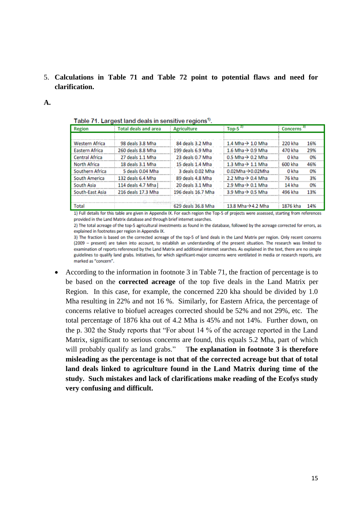5. **Calculations in Table 71 and Table 72 point to potential flaws and need for clarification.** 

#### **A.**

| <b>Region</b>         | <b>Total deals and area</b> | <b>Agriculture</b> | Top-5 $21$                    | Concerns <sup>3)</sup> |     |
|-----------------------|-----------------------------|--------------------|-------------------------------|------------------------|-----|
|                       |                             |                    |                               |                        |     |
| <b>Western Africa</b> | 98 deals 3.8 Mha            | 84 deals 3.2 Mha   | 1.4 Mha $\rightarrow$ 1.0 Mha | 220 kha                | 16% |
| Eastern Africa        | 260 deals 8.8 Mha           | 199 deals 6.9 Mha  | 1.6 Mha $\rightarrow$ 0.9 Mha | 470 kha                | 29% |
| <b>Central Africa</b> | 27 deals 1.1 Mha            | 23 deals 0.7 Mha   | 0.5 Mha $\rightarrow$ 0.2 Mha | 0 kha                  | 0%  |
| <b>North Africa</b>   | 18 deals 3.1 Mha            | 15 deals 1.4 Mha   | 1.3 Mha $\rightarrow$ 1.1 Mha | 600 kha                | 46% |
| Southern Africa       | 5 deals 0.04 Mha            | 3 deals 0.02 Mha   | $0.02Mha \rightarrow 0.02Mha$ | 0 kha                  | 0%  |
| South America         | 132 deals 6.4 Mha           | 89 deals 4.8 Mha   | 2.2 Mha $\rightarrow$ 0.4 Mha | 76 kha                 | 3%  |
| South Asia            | 114 deals 4.7 Mha           | 20 deals 3.1 Mha   | 2.9 Mha $\rightarrow$ 0.1 Mha | 14 kha                 | 0%  |
| South-East Asia       | 216 deals 17.3 Mha          | 196 deals 16.7 Mha | 3.9 Mha $\rightarrow$ 0.5 Mha | 496 kha                | 13% |
|                       |                             |                    |                               |                        |     |
| Total                 |                             | 629 deals 36.8 Mha | 13.8 Mha → 4.2 Mha            | 1876 kha               | 14% |

Table 71 Largest land deals in sensitive regions<sup>1)</sup>

1) Full details for this table are given in Appendix IX. For each region the Top-5 of projects were assessed, starting from references provided in the Land Matrix database and through brief internet searches.

2) The total acreage of the top-5 agricultural investments as found in the database, followed by the acreage corrected for errors, as explained in footnotes per region in Appendix IX.

3) The fraction is based on the corrected acreage of the top-5 of land deals in the Land Matrix per region. Only recent concerns (2009 - present) are taken into account, to establish an understanding of the present situation. The research was limited to examination of reports referenced by the Land Matrix and additional internet searches. As explained in the text, there are no simple guidelines to qualify land grabs. Initiatives, for which significant-major concerns were ventilated in media or research reports, are marked as "concern".

• According to the information in footnote 3 in Table 71, the fraction of percentage is to be based on the **corrected acreage** of the top five deals in the Land Matrix per Region. In this case, for example, the concerned 220 kha should be divided by 1.0 Mha resulting in 22% and not 16 %. Similarly, for Eastern Africa, the percentage of concerns relative to biofuel acreages corrected should be 52% and not 29%, etc. The total percentage of 1876 kha out of 4.2 Mha is 45% and not 14%. Further down, on the p. 302 the Study reports that "For about 14 % of the acreage reported in the Land Matrix, significant to serious concerns are found, this equals 5.2 Mha, part of which will probably qualify as land grabs." T**he explanation in footnote 3 is therefore misleading as the percentage is not that of the corrected acreage but that of total land deals linked to agriculture found in the Land Matrix during time of the study. Such mistakes and lack of clarifications make reading of the Ecofys study very confusing and difficult.**